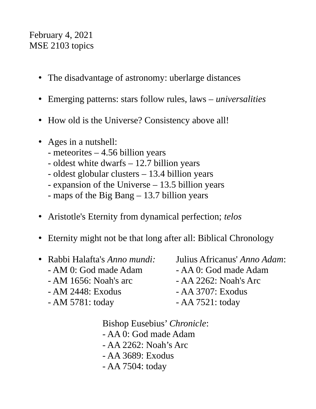## February 4, 2021 MSE 2103 topics

- The disadvantage of astronomy: uberlarge distances
- Emerging patterns: stars follow rules, laws *universalities*
- How old is the Universe? Consistency above all!
- Ages in a nutshell:
	- meteorites 4.56 billion years
	- oldest white dwarfs 12.7 billion years
	- oldest globular clusters 13.4 billion years
	- expansion of the Universe 13.5 billion years
	- maps of the Big Bang 13.7 billion years
- Aristotle's Eternity from dynamical perfection; *telos*
- Eternity might not be that long after all: Biblical Chronology
- Rabbi Halafta's *Anno mundi:* Julius Africanus' *Anno Adam*:  $- AM$  0: God made Adam  $- A A$  0: God made Adam - AM 1656: Noah's arc - AA 2262: Noah's Arc - AM 2448: Exodus - AA 3707: Exodus - AM 5781: today - AA 7521: today

Bishop Eusebius' *Chronicle*: - AA 0: God made Adam - AA 2262: Noah's Arc - AA 3689: Exodus - AA 7504: today